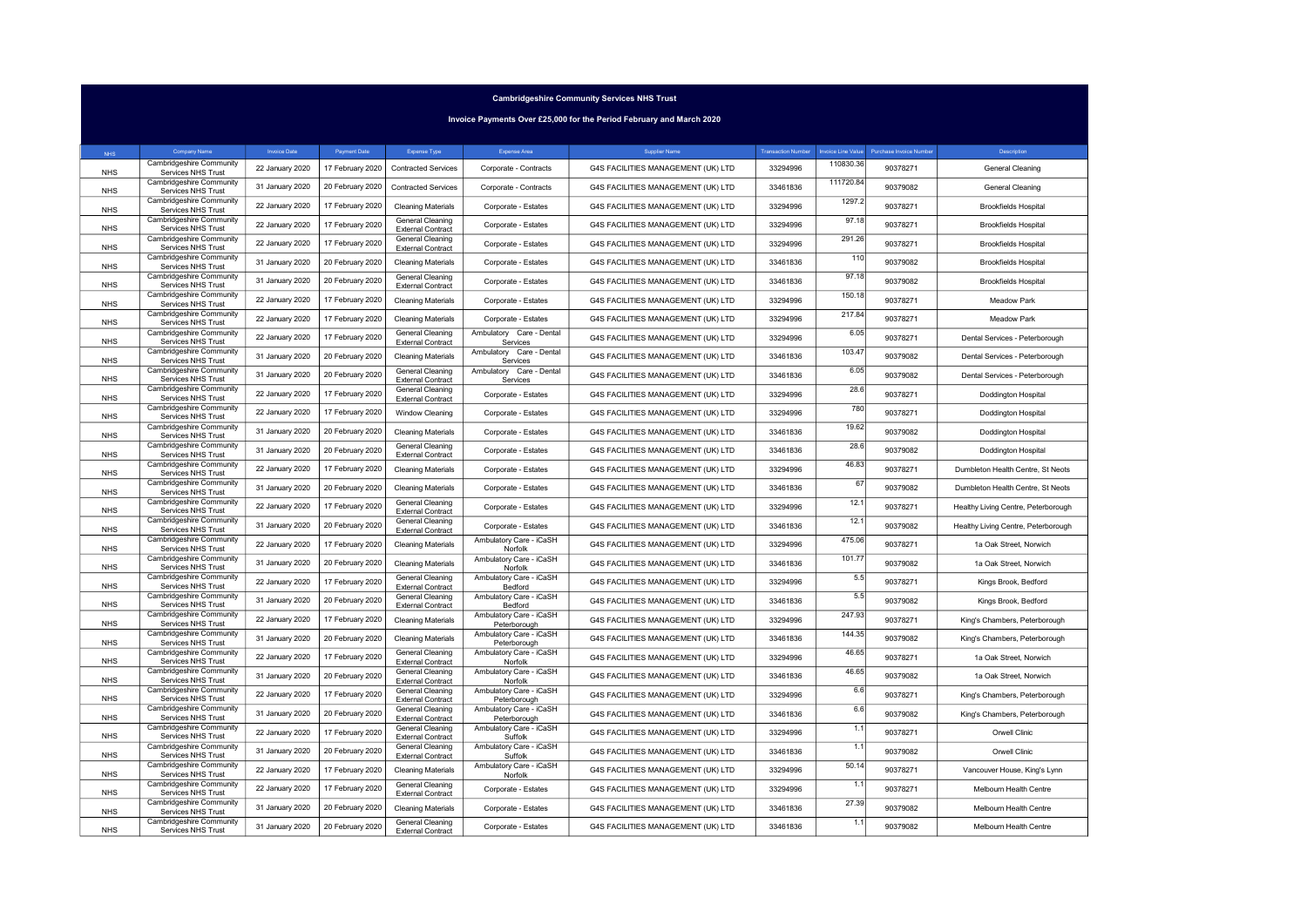Invoice Payments Over £25,000 for the Period February and March 2020

| <b>NHS</b> | Company Name                                          | <b>Invoice Date</b> | Payment Date     | Expense Type                                        | Expense Area                            | <b>Supplier Name</b>               | <b>Transaction Number</b> | nvoice Line Value | Purchase Invoice Number | Description                         |
|------------|-------------------------------------------------------|---------------------|------------------|-----------------------------------------------------|-----------------------------------------|------------------------------------|---------------------------|-------------------|-------------------------|-------------------------------------|
| <b>NHS</b> | Cambridgeshire Community<br>Services NHS Trust        | 22 January 2020     | 17 February 2020 | <b>Contracted Services</b>                          | Corporate - Contracts                   | G4S FACILITIES MANAGEMENT (UK) LTD | 33294996                  | 110830.36         | 90378271                | General Cleaning                    |
| <b>NHS</b> | Cambridgeshire Community<br>Services NHS Trust        | 31 January 2020     | 20 February 2020 | <b>Contracted Services</b>                          | Corporate - Contracts                   | G4S FACILITIES MANAGEMENT (UK) LTD | 33461836                  | 111720.84         | 90379082                | General Cleaning                    |
| <b>NHS</b> | Cambridgeshire Community<br>Services NHS Trust        | 22 January 2020     | 17 February 2020 | <b>Cleaning Materials</b>                           | Corporate - Estates                     | G4S FACILITIES MANAGEMENT (UK) LTD | 33294996                  | 1297.2            | 90378271                | <b>Brookfields Hospital</b>         |
| <b>NHS</b> | Cambridgeshire Community<br>Services NHS Trust        | 22 January 2020     | 17 February 2020 | General Cleaning<br><b>External Contract</b>        | Corporate - Estates                     | G4S FACILITIES MANAGEMENT (UK) LTD | 33294996                  | 97.18             | 90378271                | <b>Brookfields Hospital</b>         |
| <b>NHS</b> | Cambridgeshire Community<br>Services NHS Trust        | 22 January 2020     | 17 February 2020 | <b>General Cleaning</b><br><b>External Contract</b> | Corporate - Estates                     | G4S FACILITIES MANAGEMENT (UK) LTD | 33294996                  | 291.26            | 90378271                | <b>Brookfields Hospital</b>         |
| <b>NHS</b> | Cambridgeshire Community<br>Services NHS Trust        | 31 January 2020     | 20 February 2020 | <b>Cleaning Materials</b>                           | Corporate - Estates                     | G4S FACILITIES MANAGEMENT (UK) LTD | 33461836                  | 110               | 90379082                | <b>Brookfields Hospital</b>         |
| <b>NHS</b> | Cambridgeshire Community<br>Services NHS Trust        | 31 January 2020     | 20 February 2020 | <b>General Cleaning</b><br><b>External Contract</b> | Corporate - Estates                     | G4S FACILITIES MANAGEMENT (UK) LTD | 33461836                  | 97.18             | 90379082                | <b>Brookfields Hospital</b>         |
| <b>NHS</b> | Cambridgeshire Community<br>Services NHS Trust        | 22 January 2020     | 17 February 2020 | <b>Cleaning Materials</b>                           | Corporate - Estates                     | G4S FACILITIES MANAGEMENT (UK) LTD | 33294996                  | 150.18            | 90378271                | Meadow Park                         |
| <b>NHS</b> | Cambridgeshire Community<br>Services NHS Trust        | 22 January 2020     | 17 February 2020 | <b>Cleaning Materials</b>                           | Corporate - Estates                     | G4S FACILITIES MANAGEMENT (UK) LTD | 33294996                  | 217.84            | 90378271                | Meadow Park                         |
| <b>NHS</b> | Cambridgeshire Community<br>Services NHS Trust        | 22 January 2020     | 17 February 2020 | <b>General Cleaning</b><br><b>External Contract</b> | Ambulatory Care - Dental<br>Services    | G4S FACILITIES MANAGEMENT (UK) LTD | 33294996                  | 6.05              | 90378271                | Dental Services - Peterborough      |
| <b>NHS</b> | Cambridgeshire Community<br>Services NHS Trust        | 31 January 2020     | 20 February 2020 | <b>Cleaning Materials</b>                           | Ambulatory Care - Dental<br>Services    | G4S FACILITIES MANAGEMENT (UK) LTD | 33461836                  | 103.47            | 90379082                | Dental Services - Peterborough      |
| <b>NHS</b> | Cambridgeshire Community<br>Services NHS Trust        | 31 January 2020     | 20 February 2020 | <b>General Cleaning</b><br><b>External Contract</b> | Ambulatory Care - Dental<br>Services    | G4S FACILITIES MANAGEMENT (UK) LTD | 33461836                  | 6.05              | 90379082                | Dental Services - Peterborough      |
| <b>NHS</b> | Cambridgeshire Community<br>Services NHS Trust        | 22 January 2020     | 17 February 2020 | <b>General Cleaning</b><br><b>External Contract</b> | Corporate - Estates                     | G4S FACILITIES MANAGEMENT (UK) LTD | 33294996                  | 28.6              | 90378271                | Doddington Hospital                 |
| <b>NHS</b> | Cambridgeshire Community<br>Services NHS Trust        | 22 January 2020     | 17 February 2020 | Window Cleaning                                     | Corporate - Estates                     | G4S FACILITIES MANAGEMENT (UK) LTD | 33294996                  | 780               | 90378271                | Doddington Hospital                 |
| <b>NHS</b> | Cambridgeshire Community<br>Services NHS Trust        | 31 January 2020     | 20 February 2020 | <b>Cleaning Materials</b>                           | Corporate - Estates                     | G4S FACILITIES MANAGEMENT (UK) LTD | 33461836                  | 19.62             | 90379082                | Doddington Hospital                 |
| <b>NHS</b> | Cambridgeshire Community<br>Services NHS Trust        | 31 January 2020     | 20 February 2020 | <b>General Cleaning</b><br><b>External Contract</b> | Corporate - Estates                     | G4S FACILITIES MANAGEMENT (UK) LTD | 33461836                  | 28.6              | 90379082                | <b>Doddington Hospital</b>          |
| <b>NHS</b> | Cambridgeshire Community<br>Services NHS Trust        | 22 January 2020     | 17 February 2020 | <b>Cleaning Materials</b>                           | Corporate - Estates                     | G4S FACILITIES MANAGEMENT (UK) LTD | 33294996                  | 46.83             | 90378271                | Dumbleton Health Centre, St Neots   |
| <b>NHS</b> | Cambridgeshire Community<br>Services NHS Trust        | 31 January 2020     | 20 February 2020 | <b>Cleaning Materials</b>                           | Corporate - Estates                     | G4S FACILITIES MANAGEMENT (UK) LTD | 33461836                  | 67                | 90379082                | Dumbleton Health Centre, St Neots   |
| <b>NHS</b> | Cambridgeshire Community<br>Services NHS Trust        | 22 January 2020     | 17 February 2020 | <b>General Cleaning</b><br><b>External Contract</b> | Corporate - Estates                     | G4S FACILITIES MANAGEMENT (UK) LTD | 33294996                  | 12.1              | 90378271                | Healthy Living Centre, Peterborough |
| <b>NHS</b> | Cambridgeshire Community<br>Services NHS Trust        | 31 January 2020     | 20 February 2020 | <b>General Cleaning</b><br><b>External Contract</b> | Corporate - Estates                     | G4S FACILITIES MANAGEMENT (UK) LTD | 33461836                  | 12.1              | 90379082                | Healthy Living Centre, Peterborough |
| <b>NHS</b> | Cambridgeshire Community<br>Services NHS Trust        | 22 January 2020     | 17 February 2020 | <b>Cleaning Materials</b>                           | Ambulatory Care - iCaSH<br>Norfolk      | G4S FACILITIES MANAGEMENT (UK) LTD | 33294996                  | 475.06            | 90378271                | 1a Oak Street, Norwich              |
| <b>NHS</b> | Cambridgeshire Community<br>Services NHS Trust        | 31 January 2020     | 20 February 2020 | <b>Cleaning Materials</b>                           | Ambulatory Care - iCaSH<br>Norfolk      | G4S FACILITIES MANAGEMENT (UK) LTD | 33461836                  | 101.77            | 90379082                | 1a Oak Street, Norwich              |
| <b>NHS</b> | Cambridgeshire Community<br>Services NHS Trust        | 22 January 2020     | 17 February 2020 | General Cleaning<br><b>External Contract</b>        | Ambulatory Care - iCaSH<br>Bedford      | G4S FACILITIES MANAGEMENT (UK) LTD | 33294996                  | 5.5               | 90378271                | Kings Brook, Bedford                |
| <b>NHS</b> | Cambridgeshire Community<br>Services NHS Trust        | 31 January 2020     | 20 February 2020 | <b>General Cleaning</b><br><b>External Contract</b> | Ambulatory Care - iCaSH<br>Bedford      | G4S FACILITIES MANAGEMENT (UK) LTD | 33461836                  | 5.5               | 90379082                | Kings Brook, Bedford                |
| <b>NHS</b> | Cambridgeshire Community<br>Services NHS Trust        | 22 January 2020     | 17 February 2020 | <b>Cleaning Materials</b>                           | Ambulatory Care - iCaSH<br>Peterborough | G4S FACILITIES MANAGEMENT (UK) LTD | 33294996                  | 247.93            | 90378271                | King's Chambers, Peterborough       |
| <b>NHS</b> | <b>Cambridgeshire Community</b><br>Services NHS Trust | 31 January 2020     | 20 February 2020 | <b>Cleaning Materials</b>                           | Ambulatory Care - iCaSH<br>Peterborough | G4S FACILITIES MANAGEMENT (UK) LTD | 33461836                  | 144.35            | 90379082                | King's Chambers, Peterborough       |
| <b>NHS</b> | Cambridgeshire Community<br>Services NHS Trust        | 22 January 2020     | 17 February 2020 | <b>General Cleaning</b><br><b>External Contract</b> | Ambulatory Care - iCaSH<br>Norfolk      | G4S FACILITIES MANAGEMENT (UK) LTD | 33294996                  | 46.65             | 90378271                | 1a Oak Street, Norwich              |
| <b>NHS</b> | Cambridgeshire Community<br>Services NHS Trust        | 31 January 2020     | 20 February 2020 | <b>General Cleaning</b><br><b>External Contract</b> | Ambulatory Care - iCaSH<br>Norfolk      | G4S FACILITIES MANAGEMENT (UK) LTD | 33461836                  | 46.65             | 90379082                | 1a Oak Street, Norwich              |
| <b>NHS</b> | Cambridgeshire Community<br>Services NHS Trust        | 22 January 2020     | 17 February 2020 | <b>General Cleaning</b><br><b>External Contract</b> | Ambulatory Care - iCaSH<br>Peterborough | G4S FACILITIES MANAGEMENT (UK) LTD | 33294996                  | 6.6               | 90378271                | King's Chambers, Peterborough       |
| <b>NHS</b> | Cambridgeshire Community<br>Services NHS Trust        | 31 January 2020     | 20 February 2020 | <b>General Cleaning</b><br><b>External Contract</b> | Ambulatory Care - iCaSH<br>Peterborough | G4S FACILITIES MANAGEMENT (UK) LTD | 33461836                  | 6.6               | 90379082                | King's Chambers, Peterborough       |
| <b>NHS</b> | Cambridgeshire Community<br>Services NHS Trust        | 22 January 2020     | 17 February 2020 | <b>General Cleaning</b><br><b>External Contract</b> | Ambulatory Care - iCaSH<br>Suffolk      | G4S FACILITIES MANAGEMENT (UK) LTD | 33294996                  | 1.1               | 90378271                | Orwell Clinic                       |
| <b>NHS</b> | Cambridgeshire Community<br>Services NHS Trust        | 31 January 2020     | 20 February 2020 | General Cleaning<br><b>External Contract</b>        | Ambulatory Care - iCaSH<br>Suffolk      | G4S FACILITIES MANAGEMENT (UK) LTD | 33461836                  | 1.1               | 90379082                | Orwell Clinic                       |
| <b>NHS</b> | Cambridgeshire Community<br>Services NHS Trust        | 22 January 2020     | 17 February 2020 | <b>Cleaning Materials</b>                           | Ambulatory Care - iCaSH<br>Norfolk      | G4S FACILITIES MANAGEMENT (UK) LTD | 33294996                  | 50.14             | 90378271                | Vancouver House, King's Lynn        |
| <b>NHS</b> | Cambridgeshire Community<br>Services NHS Trust        | 22 January 2020     | 17 February 2020 | <b>General Cleaning</b><br><b>External Contract</b> | Corporate - Estates                     | G4S FACILITIES MANAGEMENT (UK) LTD | 33294996                  | 1.1               | 90378271                | Melbourn Health Centre              |
| <b>NHS</b> | Cambridgeshire Community<br>Services NHS Trust        | 31 January 2020     | 20 February 2020 | <b>Cleaning Materials</b>                           | Corporate - Estates                     | G4S FACILITIES MANAGEMENT (UK) LTD | 33461836                  | 27.39             | 90379082                | Melbourn Health Centre              |
| <b>NHS</b> | Cambridgeshire Community<br>Services NHS Trust        | 31 January 2020     | 20 February 2020 | <b>General Cleaning</b><br><b>External Contract</b> | Corporate - Estates                     | G4S FACILITIES MANAGEMENT (UK) LTD | 33461836                  | 1.1               | 90379082                | Melbourn Health Centre              |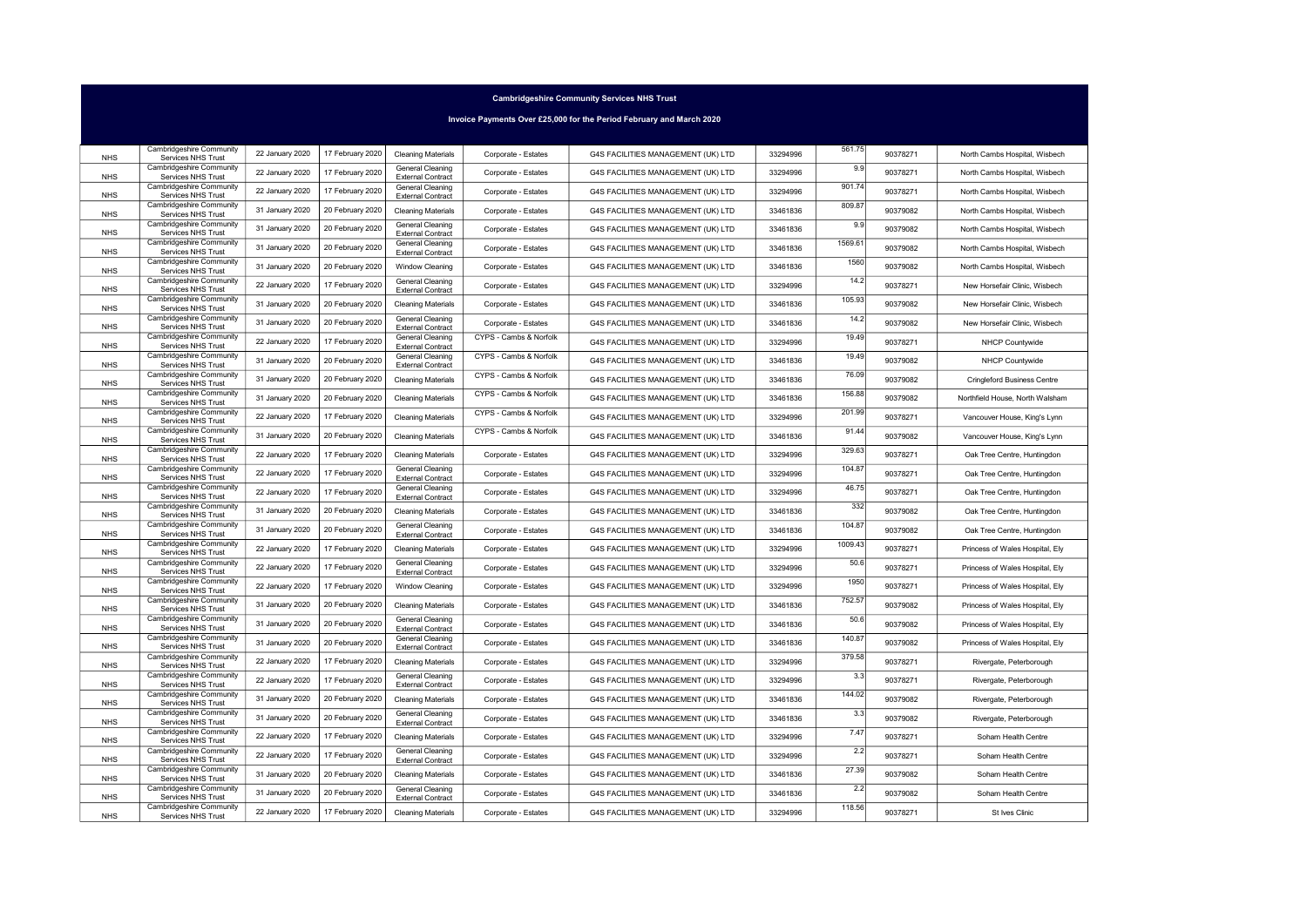Invoice Payments Over £25,000 for the Period February and March 2020

| <b>NHS</b> | Cambridgeshire Community<br>Services NHS Trust        | 22 January 2020 | 17 February 2020 | <b>Cleaning Materials</b>                                                       | Corporate - Estates    | G4S FACILITIES MANAGEMENT (UK) LTD | 33294996 | 561.75  | 90378271 | North Cambs Hospital, Wisbech      |
|------------|-------------------------------------------------------|-----------------|------------------|---------------------------------------------------------------------------------|------------------------|------------------------------------|----------|---------|----------|------------------------------------|
| <b>NHS</b> | Cambridgeshire Community<br>Services NHS Trust        | 22 January 2020 | 17 February 2020 | <b>General Cleaning</b>                                                         | Corporate - Estates    | G4S FACILITIES MANAGEMENT (UK) LTD | 33294996 | 9.9     | 90378271 | North Cambs Hospital, Wisbech      |
| <b>NHS</b> | Cambridgeshire Community<br>Services NHS Trust        | 22 January 2020 | 17 February 2020 | <b>External Contract</b><br><b>General Cleaning</b><br><b>External Contract</b> | Corporate - Estates    | G4S FACILITIES MANAGEMENT (UK) LTD | 33294996 | 901.74  | 90378271 | North Cambs Hospital, Wisbech      |
| <b>NHS</b> | Cambridgeshire Community<br>Services NHS Trust        | 31 January 2020 | 20 February 2020 | <b>Cleaning Materials</b>                                                       | Corporate - Estates    | G4S FACILITIES MANAGEMENT (UK) LTD | 33461836 | 809.87  | 90379082 | North Cambs Hospital, Wisbech      |
| <b>NHS</b> | Cambridgeshire Community<br>Services NHS Trust        | 31 January 2020 | 20 February 2020 | General Cleaning                                                                | Corporate - Estates    | G4S FACILITIES MANAGEMENT (UK) LTD | 33461836 | 9.9     | 90379082 | North Cambs Hospital, Wisbech      |
| <b>NHS</b> | Cambridgeshire Community<br>Services NHS Trust        | 31 January 2020 | 20 February 2020 | <b>External Contract</b><br><b>General Cleaning</b>                             | Corporate - Estates    | G4S FACILITIES MANAGEMENT (UK) LTD | 33461836 | 1569.61 | 90379082 | North Cambs Hospital, Wisbech      |
| <b>NHS</b> | Cambridgeshire Community<br>Services NHS Trust        | 31 January 2020 | 20 February 2020 | <b>External Contract</b><br>Window Cleaning                                     | Corporate - Estates    | G4S FACILITIES MANAGEMENT (UK) LTD | 33461836 | 1560    | 90379082 | North Cambs Hospital, Wisbech      |
| <b>NHS</b> | Cambridgeshire Community<br>Services NHS Trust        | 22 January 2020 | 17 February 2020 | General Cleaning<br><b>External Contract</b>                                    | Corporate - Estates    | G4S FACILITIES MANAGEMENT (UK) LTD | 33294996 | 14.2    | 90378271 | New Horsefair Clinic, Wisbech      |
| <b>NHS</b> | Cambridgeshire Community<br>Services NHS Trust        | 31 January 2020 | 20 February 2020 | <b>Cleaning Materials</b>                                                       | Corporate - Estates    | G4S FACILITIES MANAGEMENT (UK) LTD | 33461836 | 105.93  | 90379082 | New Horsefair Clinic, Wisbech      |
| <b>NHS</b> | Cambridgeshire Community<br>Services NHS Trust        | 31 January 2020 | 20 February 2020 | <b>General Cleaning</b><br><b>External Contract</b>                             | Corporate - Estates    | G4S FACILITIES MANAGEMENT (UK) LTD | 33461836 | 14.2    | 90379082 | New Horsefair Clinic, Wisbech      |
| <b>NHS</b> | Cambridgeshire Community<br>Services NHS Trust        | 22 January 2020 | 17 February 2020 | General Cleaning<br><b>External Contract</b>                                    | CYPS - Cambs & Norfolk | G4S FACILITIES MANAGEMENT (UK) LTD | 33294996 | 19.49   | 90378271 | NHCP Countywide                    |
| <b>NHS</b> | Cambridgeshire Community<br>Services NHS Trust        | 31 January 2020 | 20 February 2020 | General Cleaning<br><b>External Contract</b>                                    | CYPS - Cambs & Norfolk | G4S FACILITIES MANAGEMENT (UK) LTD | 33461836 | 19.49   | 90379082 | NHCP Countywide                    |
| <b>NHS</b> | Cambridgeshire Community<br>Services NHS Trust        | 31 January 2020 | 20 February 2020 | <b>Cleaning Materials</b>                                                       | CYPS - Cambs & Norfolk | G4S FACILITIES MANAGEMENT (UK) LTD | 33461836 | 76.09   | 90379082 | <b>Cringleford Business Centre</b> |
| <b>NHS</b> | Cambridgeshire Community<br>Services NHS Trust        | 31 January 2020 | 20 February 2020 | <b>Cleaning Materials</b>                                                       | CYPS - Cambs & Norfolk | G4S FACILITIES MANAGEMENT (UK) LTD | 33461836 | 156.88  | 90379082 | Northfield House, North Walsham    |
| <b>NHS</b> | Cambridgeshire Community<br>Services NHS Trust        | 22 January 2020 | 17 February 2020 | <b>Cleaning Materials</b>                                                       | CYPS - Cambs & Norfolk | G4S FACILITIES MANAGEMENT (UK) LTD | 33294996 | 201.99  | 90378271 | Vancouver House, King's Lynn       |
| <b>NHS</b> | Cambridgeshire Community<br>Services NHS Trust        | 31 January 2020 | 20 February 2020 | <b>Cleaning Materials</b>                                                       | CYPS - Cambs & Norfolk | G4S FACILITIES MANAGEMENT (UK) LTD | 33461836 | 91.44   | 90379082 | Vancouver House, King's Lynn       |
| <b>NHS</b> | <b>Cambridgeshire Community</b><br>Services NHS Trust | 22 January 2020 | 17 February 2020 | <b>Cleaning Materials</b>                                                       | Corporate - Estates    | G4S FACILITIES MANAGEMENT (UK) LTD | 33294996 | 329.63  | 90378271 | Oak Tree Centre, Huntingdon        |
| <b>NHS</b> | Cambridgeshire Community<br>Services NHS Trust        | 22 January 2020 | 17 February 2020 | <b>General Cleaning</b><br><b>External Contract</b>                             | Corporate - Estates    | G4S FACILITIES MANAGEMENT (UK) LTD | 33294996 | 104.87  | 90378271 | Oak Tree Centre, Huntingdon        |
| <b>NHS</b> | Cambridgeshire Community<br>Services NHS Trust        | 22 January 2020 | 17 February 2020 | <b>General Cleaning</b><br><b>External Contract</b>                             | Corporate - Estates    | G4S FACILITIES MANAGEMENT (UK) LTD | 33294996 | 46.75   | 90378271 | Oak Tree Centre, Huntingdon        |
| <b>NHS</b> | Cambridgeshire Community<br>Services NHS Trust        | 31 January 2020 | 20 February 2020 | <b>Cleaning Materials</b>                                                       | Corporate - Estates    | G4S FACILITIES MANAGEMENT (UK) LTD | 33461836 | 332     | 90379082 | Oak Tree Centre, Huntingdon        |
| <b>NHS</b> | Cambridgeshire Community<br>Services NHS Trust        | 31 January 2020 | 20 February 2020 | <b>General Cleaning</b><br><b>External Contract</b>                             | Corporate - Estates    | G4S FACILITIES MANAGEMENT (UK) LTD | 33461836 | 104.87  | 90379082 | Oak Tree Centre, Huntingdon        |
| <b>NHS</b> | Cambridgeshire Community<br>Services NHS Trust        | 22 January 2020 | 17 February 2020 | <b>Cleaning Materials</b>                                                       | Corporate - Estates    | G4S FACILITIES MANAGEMENT (UK) LTD | 33294996 | 1009.43 | 90378271 | Princess of Wales Hospital, Ely    |
| <b>NHS</b> | Cambridgeshire Community<br>Services NHS Trust        | 22 January 2020 | 17 February 2020 | <b>General Cleaning</b><br><b>External Contract</b>                             | Corporate - Estates    | G4S FACILITIES MANAGEMENT (UK) LTD | 33294996 | 50.6    | 90378271 | Princess of Wales Hospital, Ely    |
| <b>NHS</b> | Cambridgeshire Community<br>Services NHS Trust        | 22 January 2020 | 17 February 2020 | Window Cleaning                                                                 | Corporate - Estates    | G4S FACILITIES MANAGEMENT (UK) LTD | 33294996 | 1950    | 90378271 | Princess of Wales Hospital, Ely    |
| <b>NHS</b> | Cambridgeshire Community<br>Services NHS Trust        | 31 January 2020 | 20 February 2020 | <b>Cleaning Materials</b>                                                       | Corporate - Estates    | G4S FACILITIES MANAGEMENT (UK) LTD | 33461836 | 752.57  | 90379082 | Princess of Wales Hospital, Ely    |
| <b>NHS</b> | Cambridgeshire Community<br>Services NHS Trust        | 31 January 2020 | 20 February 2020 | <b>General Cleaning</b><br><b>External Contract</b>                             | Corporate - Estates    | G4S FACILITIES MANAGEMENT (UK) LTD | 33461836 | 50.6    | 90379082 | Princess of Wales Hospital, Ely    |
| <b>NHS</b> | Cambridgeshire Community<br>Services NHS Trust        | 31 January 2020 | 20 February 2020 | General Cleaning<br><b>External Contract</b>                                    | Corporate - Estates    | G4S FACILITIES MANAGEMENT (UK) LTD | 33461836 | 140.87  | 90379082 | Princess of Wales Hospital, Ely    |
| <b>NHS</b> | Cambridgeshire Community<br>Services NHS Trust        | 22 January 2020 | 17 February 2020 | <b>Cleaning Materials</b>                                                       | Corporate - Estates    | G4S FACILITIES MANAGEMENT (UK) LTD | 33294996 | 379.58  | 90378271 | Rivergate, Peterborough            |
| <b>NHS</b> | Cambridgeshire Community<br>Services NHS Trust        | 22 January 2020 | 17 February 2020 | <b>General Cleaning</b><br><b>External Contract</b>                             | Corporate - Estates    | G4S FACILITIES MANAGEMENT (UK) LTD | 33294996 | 3.3     | 90378271 | Rivergate, Peterborough            |
| <b>NHS</b> | Cambridgeshire Community<br>Services NHS Trust        | 31 January 2020 | 20 February 2020 | <b>Cleaning Materials</b>                                                       | Corporate - Estates    | G4S FACILITIES MANAGEMENT (UK) LTD | 33461836 | 144.02  | 90379082 | Rivergate, Peterborough            |
| <b>NHS</b> | Cambridgeshire Community<br>Services NHS Trust        | 31 January 2020 | 20 February 2020 | <b>General Cleaning</b><br><b>External Contract</b>                             | Corporate - Estates    | G4S FACILITIES MANAGEMENT (UK) LTD | 33461836 | 3.3     | 90379082 | Rivergate, Peterborough            |
| <b>NHS</b> | Cambridgeshire Community<br>Services NHS Trust        | 22 January 2020 | 17 February 2020 | <b>Cleaning Materials</b>                                                       | Corporate - Estates    | G4S FACILITIES MANAGEMENT (UK) LTD | 33294996 | 7.47    | 90378271 | Soham Health Centre                |
| <b>NHS</b> | Cambridgeshire Community<br>Services NHS Trust        | 22 January 2020 | 17 February 2020 | General Cleaning<br><b>External Contract</b>                                    | Corporate - Estates    | G4S FACILITIES MANAGEMENT (UK) LTD | 33294996 | 2.2     | 90378271 | Soham Health Centre                |
| <b>NHS</b> | Cambridgeshire Community<br>Services NHS Trust        | 31 January 2020 | 20 February 2020 | <b>Cleaning Materials</b>                                                       | Corporate - Estates    | G4S FACILITIES MANAGEMENT (UK) LTD | 33461836 | 27.39   | 90379082 | Soham Health Centre                |
| <b>NHS</b> | Cambridgeshire Community<br>Services NHS Trust        | 31 January 2020 | 20 February 2020 | <b>General Cleaning</b><br><b>External Contract</b>                             | Corporate - Estates    | G4S FACILITIES MANAGEMENT (UK) LTD | 33461836 | 2.2     | 90379082 | Soham Health Centre                |
| <b>NHS</b> | Cambridgeshire Community<br>Services NHS Trust        | 22 January 2020 | 17 February 2020 | <b>Cleaning Materials</b>                                                       | Corporate - Estates    | G4S FACILITIES MANAGEMENT (UK) LTD | 33294996 | 118.56  | 90378271 | St Ives Clinic                     |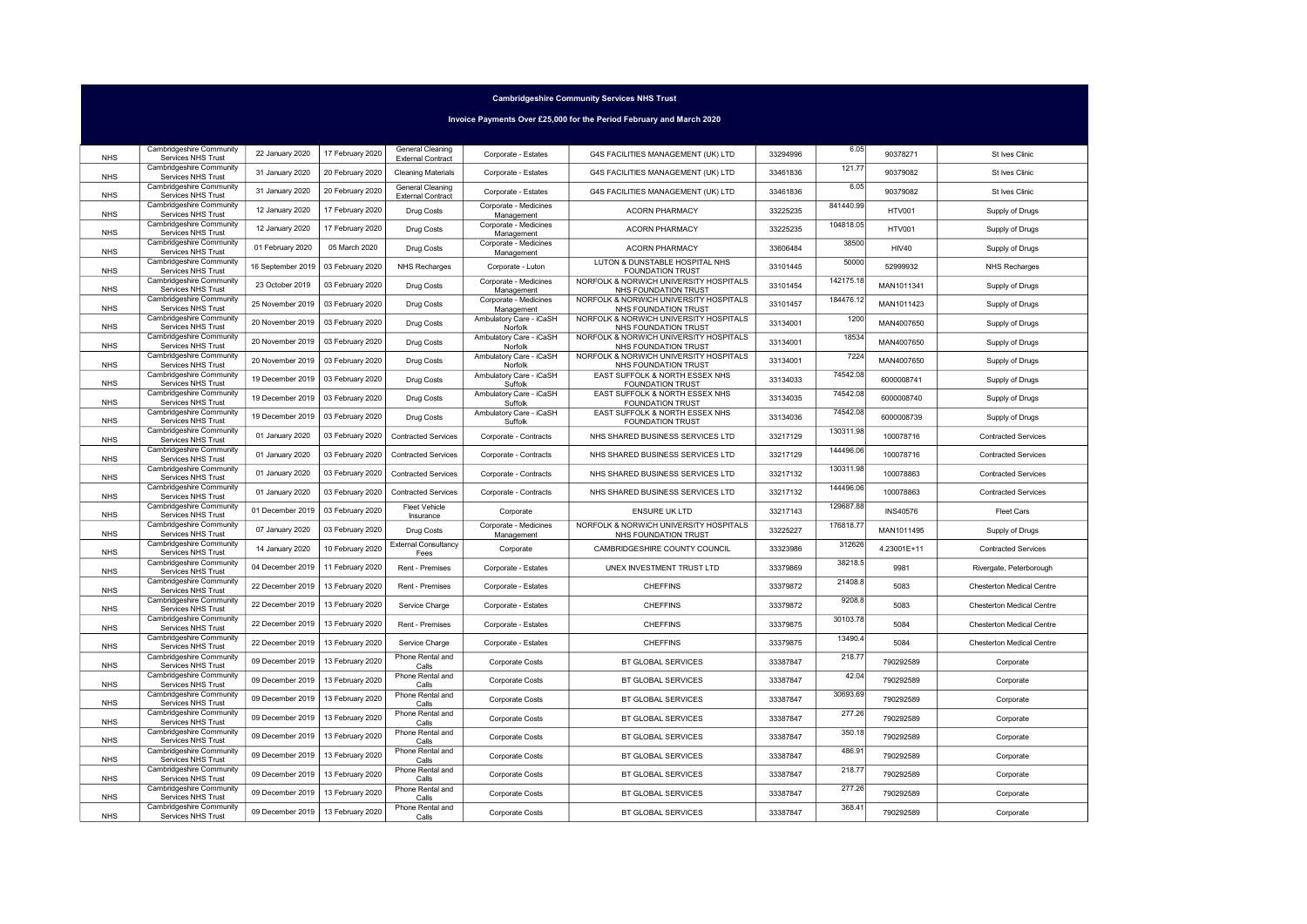Invoice Payments Over £25,000 for the Period February and March 2020

| <b>NHS</b> | Cambridgeshire Community<br>Services NHS Trust        | 22 January 2020   | 17 February 2020 | General Cleaning<br><b>External Contract</b> | Corporate - Estates                 | G4S FACILITIES MANAGEMENT (UK) LTD                             | 33294996 | 6.05      | 90378271        | St Ives Clinic             |
|------------|-------------------------------------------------------|-------------------|------------------|----------------------------------------------|-------------------------------------|----------------------------------------------------------------|----------|-----------|-----------------|----------------------------|
| <b>NHS</b> | Cambridgeshire Community<br>Services NHS Trust        | 31 January 2020   | 20 February 2020 | <b>Cleaning Materials</b>                    | Corporate - Estates                 | G4S FACILITIES MANAGEMENT (UK) LTD                             | 33461836 | 121.77    | 90379082        | St Ives Clinic             |
| <b>NHS</b> | Cambridgeshire Community<br>Services NHS Trust        | 31 January 2020   | 20 February 2020 | General Cleaning<br><b>External Contract</b> | Corporate - Estates                 | G4S FACILITIES MANAGEMENT (UK) LTD                             | 33461836 | 6.05      | 90379082        | St Ives Clinic             |
| <b>NHS</b> | Cambridgeshire Community<br>Services NHS Trust        | 12 January 2020   | 17 February 2020 | Drug Costs                                   | Corporate - Medicines<br>Management | <b>ACORN PHARMACY</b>                                          | 33225235 | 841440.99 | <b>HTV001</b>   | Supply of Drugs            |
| <b>NHS</b> | Cambridgeshire Community<br>Services NHS Trust        | 12 January 2020   | 17 February 2020 | Drug Costs                                   | Corporate - Medicines<br>Management | <b>ACORN PHARMACY</b>                                          | 33225235 | 104818.05 | <b>HTV001</b>   | Supply of Drugs            |
| <b>NHS</b> | Cambridgeshire Community<br>Services NHS Trust        | 01 February 2020  | 05 March 2020    | Drug Costs                                   | Corporate - Medicines<br>Management | <b>ACORN PHARMACY</b>                                          | 33606484 | 38500     | <b>HIV40</b>    | Supply of Drugs            |
| <b>NHS</b> | Cambridgeshire Community<br>Services NHS Trust        | 16 September 2019 | 03 February 2020 | <b>NHS Recharges</b>                         | Corporate - Luton                   | LUTON & DUNSTABLE HOSPITAL NHS<br><b>FOUNDATION TRUST</b>      | 33101445 | 50000     | 52999932        | <b>NHS Recharges</b>       |
| <b>NHS</b> | Cambridgeshire Community<br>Services NHS Trust        | 23 October 2019   | 03 February 2020 | Drug Costs                                   | Corporate - Medicines<br>Management | NORFOLK & NORWICH UNIVERSITY HOSPITALS<br>NHS FOUNDATION TRUST | 33101454 | 142175.18 | MAN1011341      | Supply of Drugs            |
| <b>NHS</b> | Cambridgeshire Community<br>Services NHS Trust        | 25 November 2019  | 03 February 2020 | Drug Costs                                   | Corporate - Medicines<br>Management | NORFOLK & NORWICH UNIVERSITY HOSPITALS<br>NHS FOUNDATION TRUST | 33101457 | 184476.12 | MAN1011423      | Supply of Drugs            |
| <b>NHS</b> | Cambridgeshire Community<br>Services NHS Trust        | 20 November 2019  | 03 February 2020 | <b>Drug Costs</b>                            | Ambulatory Care - iCaSH<br>Norfolk  | NORFOLK & NORWICH UNIVERSITY HOSPITALS<br>NHS FOUNDATION TRUST | 33134001 | 1200      | MAN4007650      | Supply of Drugs            |
| <b>NHS</b> | Cambridgeshire Community<br>Services NHS Trust        | 20 November 2019  | 03 February 2020 | Drug Costs                                   | Ambulatory Care - iCaSH<br>Norfolk  | NORFOLK & NORWICH UNIVERSITY HOSPITALS<br>NHS FOUNDATION TRUST | 33134001 | 18534     | MAN4007650      | Supply of Drugs            |
| <b>NHS</b> | Cambridgeshire Community<br>Services NHS Trust        | 20 November 2019  | 03 February 2020 | Drug Costs                                   | Ambulatory Care - iCaSH<br>Norfolk  | NORFOLK & NORWICH UNIVERSITY HOSPITALS<br>NHS FOUNDATION TRUST | 33134001 | 7224      | MAN4007650      | Supply of Drugs            |
| <b>NHS</b> | Cambridgeshire Community<br>Services NHS Trust        | 19 December 2019  | 03 February 2020 | Drug Costs                                   | Ambulatory Care - iCaSH<br>Suffolk  | EAST SUFFOLK & NORTH ESSEX NHS<br>FOUNDATION TRUST             | 33134033 | 74542.08  | 6000008741      | Supply of Drugs            |
| <b>NHS</b> | Cambridgeshire Community<br>Services NHS Trust        | 19 December 2019  | 03 February 2020 | <b>Drug Costs</b>                            | Ambulatory Care - iCaSH<br>Suffolk  | EAST SUFFOLK & NORTH ESSEX NHS<br><b>FOUNDATION TRUST</b>      | 33134035 | 74542.08  | 6000008740      | Supply of Drugs            |
| <b>NHS</b> | Cambridgeshire Community<br>Services NHS Trust        | 19 December 2019  | 03 February 2020 | Drug Costs                                   | Ambulatory Care - iCaSH<br>Suffolk  | EAST SUFFOLK & NORTH ESSEX NHS<br><b>FOUNDATION TRUST</b>      | 33134036 | 74542.08  | 6000008739      | Supply of Drugs            |
| <b>NHS</b> | Cambridgeshire Community<br>Services NHS Trust        | 01 January 2020   | 03 February 2020 | <b>Contracted Services</b>                   | Corporate - Contracts               | NHS SHARED BUSINESS SERVICES LTD                               | 33217129 | 130311.98 | 100078716       | <b>Contracted Services</b> |
| <b>NHS</b> | Cambridgeshire Community<br>Services NHS Trust        | 01 January 2020   | 03 February 2020 | <b>Contracted Services</b>                   | Corporate - Contracts               | NHS SHARED BUSINESS SERVICES LTD                               | 33217129 | 144496.06 | 100078716       | <b>Contracted Services</b> |
| <b>NHS</b> | Cambridgeshire Community<br>Services NHS Trust        | 01 January 2020   | 03 February 2020 | <b>Contracted Services</b>                   | Corporate - Contracts               | NHS SHARED BUSINESS SERVICES LTD                               | 33217132 | 130311.98 | 100078863       | <b>Contracted Services</b> |
| <b>NHS</b> | Cambridgeshire Community<br>Services NHS Trust        | 01 January 2020   | 03 February 2020 | <b>Contracted Services</b>                   | Corporate - Contracts               | NHS SHARED BUSINESS SERVICES LTD                               | 33217132 | 144496.06 | 100078863       | <b>Contracted Services</b> |
| <b>NHS</b> | Cambridgeshire Community<br>Services NHS Trust        | 01 December 2019  | 03 February 2020 | <b>Fleet Vehicle</b><br>Insurance            | Corporate                           | <b>ENSURE UK LTD</b>                                           | 33217143 | 129687.88 | <b>INS40576</b> | Fleet Cars                 |
| <b>NHS</b> | Cambridgeshire Community<br>Services NHS Trust        | 07 January 2020   | 03 February 2020 | <b>Drug Costs</b>                            | Corporate - Medicines<br>Management | NORFOLK & NORWICH UNIVERSITY HOSPITALS<br>NHS FOUNDATION TRUST | 33225227 | 176818.77 | MAN1011495      | Supply of Drugs            |
| <b>NHS</b> | <b>Cambridgeshire Community</b><br>Services NHS Trust | 14 January 2020   | 10 February 2020 | <b>External Consultancy</b><br>Fees          | Corporate                           | CAMBRIDGESHIRE COUNTY COUNCIL                                  | 33323986 | 312626    | 4.23001E+11     | <b>Contracted Services</b> |
| <b>NHS</b> | Cambridgeshire Community<br>Services NHS Trust        | 04 December 2019  | 11 February 2020 | Rent - Premises                              | Corporate - Estates                 | UNEX INVESTMENT TRUST LTD                                      | 33379869 | 38218.5   | 9981            | Rivergate, Peterborough    |
| <b>NHS</b> | <b>Cambridgeshire Community</b><br>Services NHS Trust | 22 December 2019  | 13 February 2020 | <b>Rent - Premises</b>                       | Corporate - Estates                 | <b>CHEFFINS</b>                                                | 33379872 | 21408.8   | 5083            | Chesterton Medical Centre  |
| <b>NHS</b> | Cambridgeshire Community<br>Services NHS Trust        | 22 December 2019  | 13 February 2020 | Service Charge                               | Corporate - Estates                 | <b>CHEFFINS</b>                                                | 33379872 | 9208.8    | 5083            | Chesterton Medical Centre  |
| <b>NHS</b> | Cambridgeshire Community<br>Services NHS Trust        | 22 December 2019  | 13 February 2020 | Rent - Premises                              | Corporate - Estates                 | <b>CHEFFINS</b>                                                | 33379875 | 30103.78  | 5084            | Chesterton Medical Centre  |
| <b>NHS</b> | Cambridgeshire Community<br>Services NHS Trust        | 22 December 2019  | 13 February 2020 | Service Charge                               | Corporate - Estates                 | <b>CHEFFINS</b>                                                | 33379875 | 13490.4   | 5084            | Chesterton Medical Centre  |
| <b>NHS</b> | Cambridgeshire Community<br>Services NHS Trust        | 09 December 2019  | 13 February 2020 | Phone Rental and<br>Calls                    | <b>Corporate Costs</b>              | BT GLOBAL SERVICES                                             | 33387847 | 218.77    | 790292589       | Corporate                  |
| <b>NHS</b> | Cambridgeshire Community<br>Services NHS Trust        | 09 December 2019  | 13 February 2020 | Phone Rental and<br>Calls                    | Corporate Costs                     | BT GLOBAL SERVICES                                             | 33387847 | 42.04     | 790292589       | Corporate                  |
| <b>NHS</b> | Cambridgeshire Community<br>Services NHS Trust        | 09 December 2019  | 13 February 2020 | Phone Rental and<br>Calls                    | Corporate Costs                     | BT GLOBAL SERVICES                                             | 33387847 | 30693.69  | 790292589       | Corporate                  |
| <b>NHS</b> | Cambridgeshire Community<br>Services NHS Trust        | 09 December 2019  | 13 February 2020 | Phone Rental and<br>Calls                    | <b>Corporate Costs</b>              | BT GLOBAL SERVICES                                             | 33387847 | 277.26    | 790292589       | Corporate                  |
| <b>NHS</b> | <b>Cambridgeshire Community</b><br>Services NHS Trust | 09 December 2019  | 13 February 2020 | Phone Rental and<br>Calls                    | Corporate Costs                     | BT GLOBAL SERVICES                                             | 33387847 | 350.18    | 790292589       | Corporate                  |
| <b>NHS</b> | Cambridgeshire Community<br>Services NHS Trust        | 09 December 2019  | 13 February 2020 | Phone Rental and<br>Calls                    | <b>Corporate Costs</b>              | BT GLOBAL SERVICES                                             | 33387847 | 486.91    | 790292589       | Corporate                  |
| <b>NHS</b> | Cambridgeshire Community<br>Services NHS Trust        | 09 December 2019  | 13 February 2020 | Phone Rental and<br>Calls                    | Corporate Costs                     | BT GLOBAL SERVICES                                             | 33387847 | 218.77    | 790292589       | Corporate                  |
| <b>NHS</b> | Cambridgeshire Community<br>Services NHS Trust        | 09 December 2019  | 13 February 2020 | Phone Rental and<br>Calls                    | <b>Corporate Costs</b>              | BT GLOBAL SERVICES                                             | 33387847 | 277.26    | 790292589       | Corporate                  |
| <b>NHS</b> | <b>Cambridgeshire Community</b><br>Services NHS Trust | 09 December 2019  | 13 February 2020 | Phone Rental and<br>Calls                    | <b>Corporate Costs</b>              | BT GLOBAL SERVICES                                             | 33387847 | 368.41    | 790292589       | Corporate                  |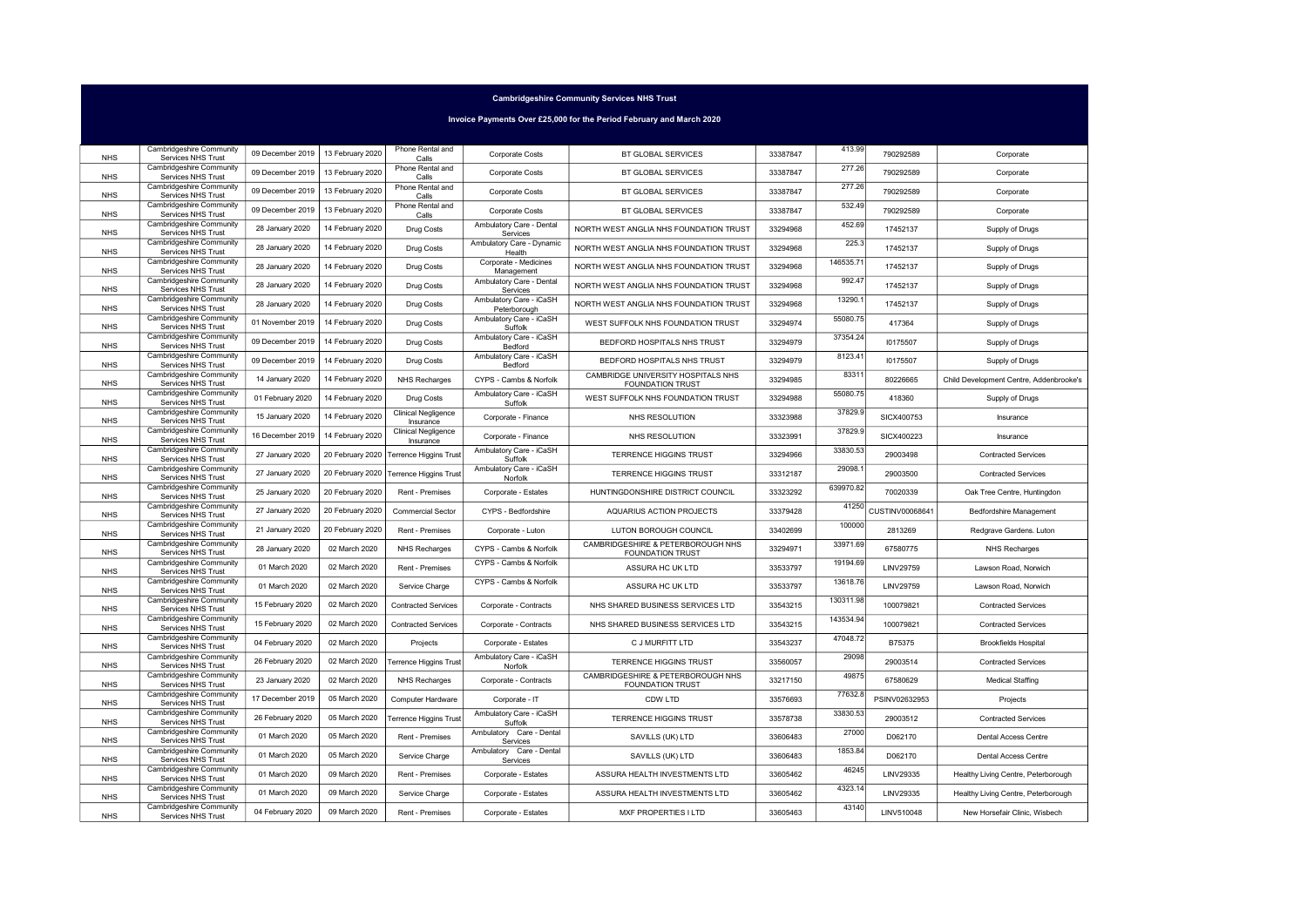Invoice Payments Over £25,000 for the Period February and March 2020

|            | Cambridgeshire Community                              |                                     |                  | Phone Rental and                        |                                         |                                                               |          | 413.99    |                 |                                         |
|------------|-------------------------------------------------------|-------------------------------------|------------------|-----------------------------------------|-----------------------------------------|---------------------------------------------------------------|----------|-----------|-----------------|-----------------------------------------|
| <b>NHS</b> | Services NHS Trust                                    | 09 December 2019   13 February 2020 |                  | Calls                                   | Corporate Costs                         | BT GLOBAL SERVICES                                            | 33387847 |           | 790292589       | Corporate                               |
| <b>NHS</b> | Cambridgeshire Community<br>Services NHS Trust        | 09 December 2019                    | 13 February 2020 | Phone Rental and<br>Calls               | Corporate Costs                         | BT GLOBAL SERVICES                                            | 33387847 | 277.26    | 790292589       | Corporate                               |
| <b>NHS</b> | Cambridgeshire Community<br>Services NHS Trust        | 09 December 2019                    | 13 February 2020 | Phone Rental and<br>Calls               | Corporate Costs                         | BT GLOBAL SERVICES                                            | 33387847 | 277.26    | 790292589       | Corporate                               |
| <b>NHS</b> | Cambridgeshire Community<br>Services NHS Trust        | 09 December 2019                    | 13 February 2020 | Phone Rental and<br>Calls               | <b>Corporate Costs</b>                  | BT GLOBAL SERVICES                                            | 33387847 | 532.49    | 790292589       | Corporate                               |
| <b>NHS</b> | Cambridgeshire Community<br>Services NHS Trust        | 28 January 2020                     | 14 February 2020 | Drug Costs                              | Ambulatory Care - Dental<br>Services    | NORTH WEST ANGLIA NHS FOUNDATION TRUST                        | 33294968 | 452.69    | 17452137        | Supply of Drugs                         |
| <b>NHS</b> | Cambridgeshire Community<br>Services NHS Trust        | 28 January 2020                     | 14 February 2020 | Drug Costs                              | Ambulatory Care - Dynamic<br>Health     | NORTH WEST ANGLIA NHS FOUNDATION TRUST                        | 33294968 | 225.3     | 17452137        | Supply of Drugs                         |
| <b>NHS</b> | Cambridgeshire Community<br>Services NHS Trust        | 28 January 2020                     | 14 February 2020 | Drug Costs                              | Corporate - Medicines<br>Management     | NORTH WEST ANGLIA NHS FOUNDATION TRUST                        | 33294968 | 146535.71 | 17452137        | Supply of Drugs                         |
| <b>NHS</b> | Cambridgeshire Community<br>Services NHS Trust        | 28 January 2020                     | 14 February 2020 | <b>Drug Costs</b>                       | Ambulatory Care - Dental<br>Services    | NORTH WEST ANGLIA NHS FOUNDATION TRUST                        | 33294968 | 992.47    | 17452137        | Supply of Drugs                         |
| <b>NHS</b> | Cambridgeshire Community<br>Services NHS Trust        | 28 January 2020                     | 14 February 2020 | Drug Costs                              | Ambulatory Care - iCaSH<br>Peterborough | NORTH WEST ANGLIA NHS FOUNDATION TRUST                        | 33294968 | 13290.1   | 17452137        | Supply of Drugs                         |
| <b>NHS</b> | Cambridgeshire Community<br>Services NHS Trust        | 01 November 2019                    | 14 February 2020 | Drug Costs                              | Ambulatory Care - iCaSH<br>Suffolk      | WEST SUFFOLK NHS FOUNDATION TRUST                             | 33294974 | 55080.75  | 417364          | Supply of Drugs                         |
| <b>NHS</b> | Cambridgeshire Community<br>Services NHS Trust        | 09 December 2019                    | 14 February 2020 | Drug Costs                              | Ambulatory Care - iCaSH<br>Bedford      | BEDFORD HOSPITALS NHS TRUST                                   | 33294979 | 37354.24  | 10175507        | Supply of Drugs                         |
| <b>NHS</b> | Cambridgeshire Community<br>Services NHS Trust        | 09 December 2019                    | 14 February 2020 | <b>Drug Costs</b>                       | Ambulatory Care - iCaSH<br>Bedford      | BEDFORD HOSPITALS NHS TRUST                                   | 33294979 | 8123.41   | 10175507        | Supply of Drugs                         |
| <b>NHS</b> | Cambridgeshire Community<br>Services NHS Trust        | 14 January 2020                     | 14 February 2020 | <b>NHS Recharges</b>                    | CYPS - Cambs & Norfolk                  | CAMBRIDGE UNIVERSITY HOSPITALS NHS<br><b>FOUNDATION TRUST</b> | 33294985 | 83311     | 80226665        | Child Development Centre, Addenbrooke's |
| <b>NHS</b> | Cambridgeshire Community<br>Services NHS Trust        | 01 February 2020                    | 14 February 2020 | Drug Costs                              | Ambulatory Care - iCaSH<br>Suffolk      | WEST SUFFOLK NHS FOUNDATION TRUST                             | 33294988 | 55080.75  | 418360          | Supply of Drugs                         |
| <b>NHS</b> | Cambridgeshire Community<br>Services NHS Trust        | 15 January 2020                     | 14 February 2020 | <b>Clinical Negligence</b><br>Insurance | Corporate - Finance                     | NHS RESOLUTION                                                | 33323988 | 37829.9   | SICX400753      | Insurance                               |
| <b>NHS</b> | Cambridgeshire Community<br>Services NHS Trust        | 16 December 2019                    | 14 February 2020 | Clinical Negligence<br>Insurance        | Corporate - Finance                     | NHS RESOLUTION                                                | 33323991 | 37829.9   | SICX400223      | Insurance                               |
| <b>NHS</b> | Cambridgeshire Community<br>Services NHS Trust        | 27 January 2020                     |                  | 20 February 2020 Terrence Higgins Trust | Ambulatory Care - iCaSH<br>Suffolk      | <b>TERRENCE HIGGINS TRUST</b>                                 | 33294966 | 33830.53  | 29003498        | <b>Contracted Services</b>              |
| <b>NHS</b> | Cambridgeshire Community<br>Services NHS Trust        | 27 January 2020                     |                  | 20 February 2020 Terrence Higgins Trust | Ambulatory Care - iCaSH<br>Norfolk      | TERRENCE HIGGINS TRUST                                        | 33312187 | 29098.    | 29003500        | <b>Contracted Services</b>              |
| <b>NHS</b> | Cambridgeshire Community<br>Services NHS Trust        | 25 January 2020                     | 20 February 2020 | Rent - Premises                         | Corporate - Estates                     | HUNTINGDONSHIRE DISTRICT COUNCIL                              | 33323292 | 639970.82 | 70020339        | Oak Tree Centre, Huntingdon             |
| <b>NHS</b> | Cambridgeshire Community<br>Services NHS Trust        | 27 January 2020                     | 20 February 2020 | <b>Commercial Sector</b>                | CYPS - Bedfordshire                     | AQUARIUS ACTION PROJECTS                                      | 33379428 | 41250     | CUSTINV00068641 | Bedfordshire Management                 |
| <b>NHS</b> | Cambridgeshire Community<br>Services NHS Trust        | 21 January 2020                     | 20 February 2020 | Rent - Premises                         | Corporate - Luton                       | LUTON BOROUGH COUNCIL                                         | 33402699 | 100000    | 2813269         | Redgrave Gardens. Luton                 |
| <b>NHS</b> | <b>Cambridgeshire Community</b><br>Services NHS Trust | 28 January 2020                     | 02 March 2020    | <b>NHS Recharges</b>                    | CYPS - Cambs & Norfolk                  | CAMBRIDGESHIRE & PETERBOROUGH NHS<br><b>FOUNDATION TRUST</b>  | 33294971 | 33971.69  | 67580775        | <b>NHS Recharges</b>                    |
| <b>NHS</b> | Cambridgeshire Community<br>Services NHS Trust        | 01 March 2020                       | 02 March 2020    | Rent - Premises                         | CYPS - Cambs & Norfolk                  | ASSURA HC UK LTD                                              | 33533797 | 19194.69  | LINV29759       | Lawson Road, Norwich                    |
| <b>NHS</b> | Cambridgeshire Community<br>Services NHS Trust        | 01 March 2020                       | 02 March 2020    | Service Charge                          | CYPS - Cambs & Norfolk                  | ASSURA HC UK LTD                                              | 33533797 | 13618.76  | LINV29759       | Lawson Road, Norwich                    |
| <b>NHS</b> | Cambridgeshire Community<br>Services NHS Trust        | 15 February 2020                    | 02 March 2020    | <b>Contracted Services</b>              | Corporate - Contracts                   | NHS SHARED BUSINESS SERVICES LTD                              | 33543215 | 130311.98 | 100079821       | <b>Contracted Services</b>              |
| <b>NHS</b> | Cambridgeshire Community<br>Services NHS Trust        | 15 February 2020                    | 02 March 2020    | <b>Contracted Services</b>              | Corporate - Contracts                   | NHS SHARED BUSINESS SERVICES LTD                              | 33543215 | 143534.94 | 100079821       | <b>Contracted Services</b>              |
| <b>NHS</b> | Cambridgeshire Community<br>Services NHS Trust        | 04 February 2020                    | 02 March 2020    | Projects                                | Corporate - Estates                     | C J MURFITT LTD                                               | 33543237 | 47048.72  | B75375          | <b>Brookfields Hospital</b>             |
| <b>NHS</b> | Cambridgeshire Community<br>Services NHS Trust        | 26 February 2020                    | 02 March 2020    | <b>Terrence Higgins Trust</b>           | Ambulatory Care - iCaSH<br>Norfolk      | TERRENCE HIGGINS TRUST                                        | 33560057 | 29098     | 29003514        | <b>Contracted Services</b>              |
| <b>NHS</b> | Cambridgeshire Community<br>Services NHS Trust        | 23 January 2020                     | 02 March 2020    | NHS Recharges                           | Corporate - Contracts                   | CAMBRIDGESHIRE & PETERBOROUGH NHS<br><b>FOUNDATION TRUST</b>  | 33217150 | 49875     | 67580629        | <b>Medical Staffing</b>                 |
| <b>NHS</b> | Cambridgeshire Community<br>Services NHS Trust        | 17 December 2019                    | 05 March 2020    | Computer Hardware                       | Corporate - IT                          | CDW LTD                                                       | 33576693 | 77632.8   | PSINV02632953   | Projects                                |
| <b>NHS</b> | Cambridgeshire Community<br>Services NHS Trust        | 26 February 2020                    | 05 March 2020    | Terrence Higgins Trust                  | Ambulatory Care - iCaSH<br>Suffolk      | TERRENCE HIGGINS TRUST                                        | 33578738 | 33830.53  | 29003512        | <b>Contracted Services</b>              |
| <b>NHS</b> | Cambridgeshire Community<br>Services NHS Trust        | 01 March 2020                       | 05 March 2020    | Rent - Premises                         | Ambulatory Care - Dental<br>Services    | SAVILLS (UK) LTD                                              | 33606483 | 27000     | D062170         | Dental Access Centre                    |
| <b>NHS</b> | Cambridgeshire Community<br>Services NHS Trust        | 01 March 2020                       | 05 March 2020    | Service Charge                          | Ambulatory Care - Dental<br>Services    | SAVILLS (UK) LTD                                              | 33606483 | 1853.84   | D062170         | Dental Access Centre                    |
| <b>NHS</b> | Cambridgeshire Community<br>Services NHS Trust        | 01 March 2020                       | 09 March 2020    | <b>Rent - Premises</b>                  | Corporate - Estates                     | ASSURA HEALTH INVESTMENTS LTD                                 | 33605462 | 46245     | LINV29335       | Healthy Living Centre, Peterborough     |
| <b>NHS</b> | Cambridgeshire Community<br><b>Services NHS Trust</b> | 01 March 2020                       | 09 March 2020    | Service Charge                          | Corporate - Estates                     | ASSURA HEALTH INVESTMENTS LTD                                 | 33605462 | 4323.14   | LINV29335       | Healthy Living Centre, Peterborough     |
| <b>NHS</b> | Cambridgeshire Community<br>Services NHS Trust        | 04 February 2020                    | 09 March 2020    | Rent - Premises                         | Corporate - Estates                     | MXF PROPERTIES I LTD                                          | 33605463 | 43140     | LINV510048      | New Horsefair Clinic, Wisbech           |